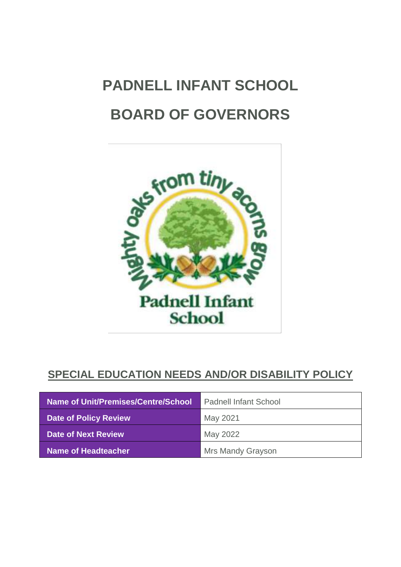# **PADNELL INFANT SCHOOL BOARD OF GOVERNORS**



# **SPECIAL EDUCATION NEEDS AND/OR DISABILITY POLICY**

| Name of Unit/Premises/Centre/School | <b>Padnell Infant School</b> |
|-------------------------------------|------------------------------|
| <b>Date of Policy Review</b>        | May 2021                     |
| Date of Next Review                 | May 2022                     |
| <b>Name of Headteacher</b>          | <b>Mrs Mandy Grayson</b>     |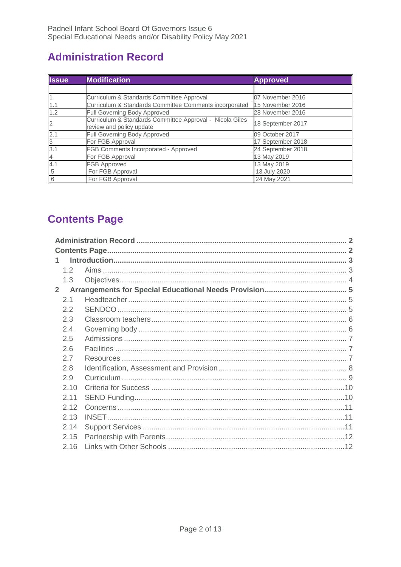# <span id="page-1-0"></span>**Administration Record**

| <b>Issue</b>   | <b>Modification</b>                                                                  | <b>Approved</b>   |
|----------------|--------------------------------------------------------------------------------------|-------------------|
|                |                                                                                      |                   |
|                | Curriculum & Standards Committee Approval                                            | 07 November 2016  |
| 1.1            | Curriculum & Standards Committee Comments incorporated                               | 15 November 2016  |
| 1.2            | Full Governing Body Approved                                                         | 28 November 2016  |
| $\overline{2}$ | Curriculum & Standards Committee Approval - Nicola Giles<br>review and policy update | 18 September 2017 |
| 2.1            | Full Governing Body Approved                                                         | 09 October 2017   |
| $\overline{3}$ | For FGB Approval                                                                     | 17 September 2018 |
| 3.1            | FGB Comments Incorporated - Approved                                                 | 24 September 2018 |
| $\overline{4}$ | For FGB Approval                                                                     | 13 May 2019       |
| 4.1            | <b>FGB Approved</b>                                                                  | 13 May 2019       |
| 5              | For FGB Approval                                                                     | 13 July 2020      |
| 6              | For FGB Approval                                                                     | 24 May 2021       |

# <span id="page-1-1"></span>**Contents Page**

| 1              |      |  |  |
|----------------|------|--|--|
|                | 1.2  |  |  |
|                | 1.3  |  |  |
| 2 <sup>1</sup> |      |  |  |
|                | 2.1  |  |  |
|                | 2.2  |  |  |
|                | 2.3  |  |  |
|                | 2.4  |  |  |
|                | 2.5  |  |  |
|                | 2.6  |  |  |
|                | 2.7  |  |  |
|                | 2.8  |  |  |
|                | 2.9  |  |  |
|                | 2.10 |  |  |
|                | 2.11 |  |  |
|                | 2.12 |  |  |
|                | 2.13 |  |  |
|                | 2.14 |  |  |
|                | 2.15 |  |  |
|                | 2.16 |  |  |
|                |      |  |  |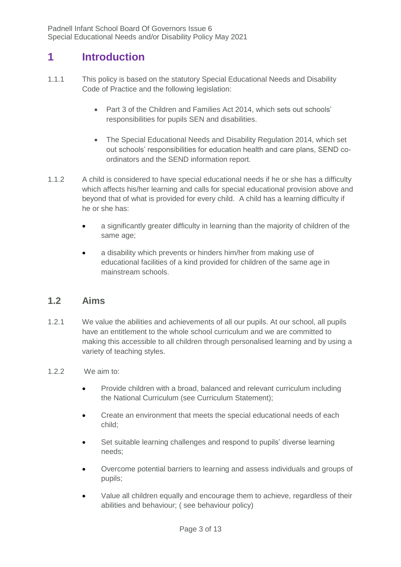# <span id="page-2-0"></span>**1 Introduction**

- 1.1.1 This policy is based on the statutory Special Educational Needs and Disability Code of Practice and the following legislation:
	- Part 3 of the Children and Families Act 2014, which sets out schools' responsibilities for pupils SEN and disabilities.
	- The Special Educational Needs and Disability Regulation 2014, which set out schools' responsibilities for education health and care plans, SEND coordinators and the SEND information report.
- 1.1.2 A child is considered to have special educational needs if he or she has a difficulty which affects his/her learning and calls for special educational provision above and beyond that of what is provided for every child. A child has a learning difficulty if he or she has:
	- a significantly greater difficulty in learning than the majority of children of the same age;
	- a disability which prevents or hinders him/her from making use of educational facilities of a kind provided for children of the same age in mainstream schools.

## <span id="page-2-1"></span>**1.2 Aims**

- 1.2.1 We value the abilities and achievements of all our pupils. At our school, all pupils have an entitlement to the whole school curriculum and we are committed to making this accessible to all children through personalised learning and by using a variety of teaching styles.
- 1.2.2 We aim to:
	- Provide children with a broad, balanced and relevant curriculum including the National Curriculum (see Curriculum Statement);
	- Create an environment that meets the special educational needs of each child;
	- Set suitable learning challenges and respond to pupils' diverse learning needs;
	- Overcome potential barriers to learning and assess individuals and groups of pupils;
	- Value all children equally and encourage them to achieve, regardless of their abilities and behaviour; ( see behaviour policy)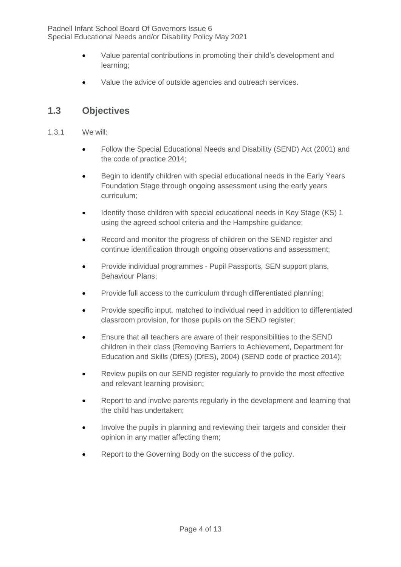- Value parental contributions in promoting their child's development and learning;
- Value the advice of outside agencies and outreach services.

### <span id="page-3-0"></span>**1.3 Objectives**

- 1.3.1 We will:
	- Follow the Special Educational Needs and Disability (SEND) Act (2001) and the code of practice 2014;
	- Begin to identify children with special educational needs in the Early Years Foundation Stage through ongoing assessment using the early years curriculum;
	- Identify those children with special educational needs in Key Stage (KS) 1 using the agreed school criteria and the Hampshire guidance;
	- Record and monitor the progress of children on the SEND register and continue identification through ongoing observations and assessment;
	- Provide individual programmes Pupil Passports, SEN support plans, Behaviour Plans;
	- Provide full access to the curriculum through differentiated planning;
	- Provide specific input, matched to individual need in addition to differentiated classroom provision, for those pupils on the SEND register;
	- Ensure that all teachers are aware of their responsibilities to the SEND children in their class (Removing Barriers to Achievement, Department for Education and Skills (DfES) (DfES), 2004) (SEND code of practice 2014);
	- Review pupils on our SEND register regularly to provide the most effective and relevant learning provision;
	- Report to and involve parents regularly in the development and learning that the child has undertaken;
	- Involve the pupils in planning and reviewing their targets and consider their opinion in any matter affecting them;
	- Report to the Governing Body on the success of the policy.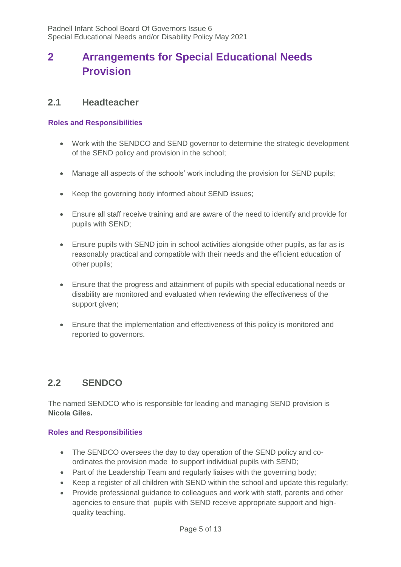# <span id="page-4-0"></span>**2 Arrangements for Special Educational Needs Provision**

#### <span id="page-4-1"></span>**2.1 Headteacher**

#### **Roles and Responsibilities**

- Work with the SENDCO and SEND governor to determine the strategic development of the SEND policy and provision in the school;
- Manage all aspects of the schools' work including the provision for SEND pupils;
- Keep the governing body informed about SEND issues;
- Ensure all staff receive training and are aware of the need to identify and provide for pupils with SEND;
- Ensure pupils with SEND join in school activities alongside other pupils, as far as is reasonably practical and compatible with their needs and the efficient education of other pupils;
- Ensure that the progress and attainment of pupils with special educational needs or disability are monitored and evaluated when reviewing the effectiveness of the support given;
- Ensure that the implementation and effectiveness of this policy is monitored and reported to governors.

# <span id="page-4-2"></span>**2.2 SENDCO**

The named SENDCO who is responsible for leading and managing SEND provision is **Nicola Giles.** 

#### **Roles and Responsibilities**

- The SENDCO oversees the day to day operation of the SEND policy and coordinates the provision made to support individual pupils with SEND;
- Part of the Leadership Team and regularly liaises with the governing body;
- Keep a register of all children with SEND within the school and update this regularly;
- Provide professional guidance to colleagues and work with staff, parents and other agencies to ensure that pupils with SEND receive appropriate support and highquality teaching.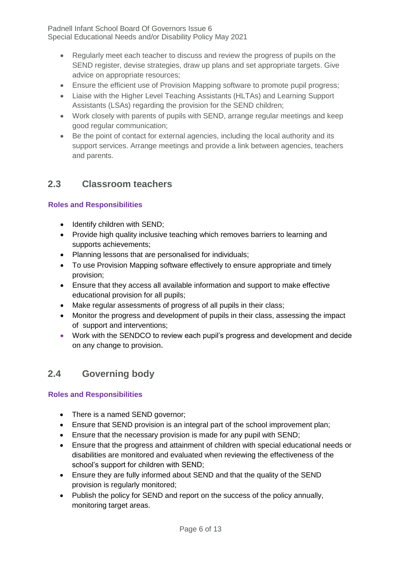- Regularly meet each teacher to discuss and review the progress of pupils on the SEND register, devise strategies, draw up plans and set appropriate targets. Give advice on appropriate resources;
- Ensure the efficient use of Provision Mapping software to promote pupil progress;
- Liaise with the Higher Level Teaching Assistants (HLTAs) and Learning Support Assistants (LSAs) regarding the provision for the SEND children;
- Work closely with parents of pupils with SEND, arrange regular meetings and keep good regular communication;
- Be the point of contact for external agencies, including the local authority and its support services. Arrange meetings and provide a link between agencies, teachers and parents.

#### <span id="page-5-0"></span>**2.3 Classroom teachers**

#### **Roles and Responsibilities**

- Identify children with SEND;
- Provide high quality inclusive teaching which removes barriers to learning and supports achievements;
- Planning lessons that are personalised for individuals;
- To use Provision Mapping software effectively to ensure appropriate and timely provision;
- Ensure that they access all available information and support to make effective educational provision for all pupils;
- Make regular assessments of progress of all pupils in their class;
- Monitor the progress and development of pupils in their class, assessing the impact of support and interventions;
- Work with the SENDCO to review each pupil's progress and development and decide on any change to provision**.**

## <span id="page-5-1"></span>**2.4 Governing body**

#### **Roles and Responsibilities**

- There is a named SEND governor;
- Ensure that SEND provision is an integral part of the school improvement plan;
- Ensure that the necessary provision is made for any pupil with SEND;
- Ensure that the progress and attainment of children with special educational needs or disabilities are monitored and evaluated when reviewing the effectiveness of the school's support for children with SEND;
- Ensure they are fully informed about SEND and that the quality of the SEND provision is regularly monitored;
- Publish the policy for SEND and report on the success of the policy annually, monitoring target areas.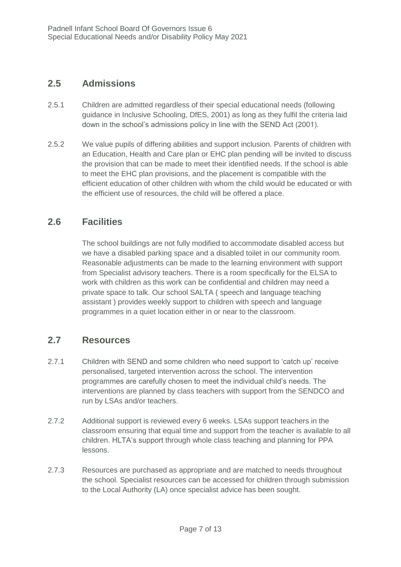### <span id="page-6-0"></span>**2.5 Admissions**

- 2.5.1 Children are admitted regardless of their special educational needs (following guidance in Inclusive Schooling, DfES, 2001) as long as they fulfil the criteria laid down in the school's admissions policy in line with the SEND Act (2001).
- 2.5.2 We value pupils of differing abilities and support inclusion. Parents of children with an Education, Health and Care plan or EHC plan pending will be invited to discuss the provision that can be made to meet their identified needs. If the school is able to meet the EHC plan provisions, and the placement is compatible with the efficient education of other children with whom the child would be educated or with the efficient use of resources, the child will be offered a place.

#### <span id="page-6-1"></span>**2.6 Facilities**

The school buildings are not fully modified to accommodate disabled access but we have a disabled parking space and a disabled toilet in our community room. Reasonable adjustments can be made to the learning environment with support from Specialist advisory teachers. There is a room specifically for the ELSA to work with children as this work can be confidential and children may need a private space to talk. Our school SALTA ( speech and language teaching assistant ) provides weekly support to children with speech and language programmes in a quiet location either in or near to the classroom.

#### <span id="page-6-2"></span>**2.7 Resources**

- 2.7.1 Children with SEND and some children who need support to 'catch up' receive personalised, targeted intervention across the school. The intervention programmes are carefully chosen to meet the individual child's needs. The interventions are planned by class teachers with support from the SENDCO and run by LSAs and/or teachers.
- 2.7.2 Additional support is reviewed every 6 weeks. LSAs support teachers in the classroom ensuring that equal time and support from the teacher is available to all children. HLTA's support through whole class teaching and planning for PPA lessons.
- 2.7.3 Resources are purchased as appropriate and are matched to needs throughout the school. Specialist resources can be accessed for children through submission to the Local Authority (LA) once specialist advice has been sought.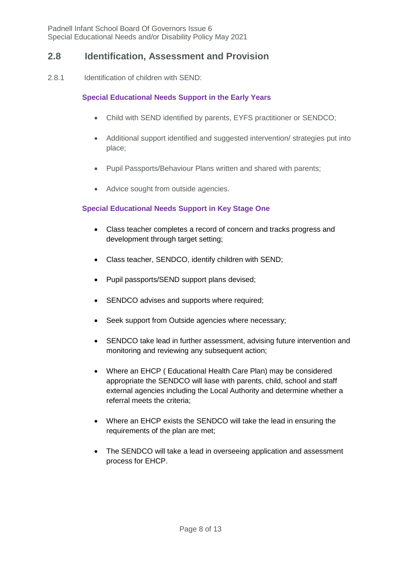#### <span id="page-7-0"></span>**2.8 Identification, Assessment and Provision**

2.8.1 Identification of children with SEND:

#### **Special Educational Needs Support in the Early Years**

- Child with SEND identified by parents, EYFS practitioner or SENDCO;
- Additional support identified and suggested intervention/ strategies put into place;
- Pupil Passports/Behaviour Plans written and shared with parents;
- Advice sought from outside agencies.

#### **Special Educational Needs Support in Key Stage One**

- Class teacher completes a record of concern and tracks progress and development through target setting;
- Class teacher, SENDCO, identify children with SEND;
- Pupil passports/SEND support plans devised;
- SENDCO advises and supports where required;
- Seek support from Outside agencies where necessary;
- SENDCO take lead in further assessment, advising future intervention and monitoring and reviewing any subsequent action;
- Where an EHCP ( Educational Health Care Plan) may be considered appropriate the SENDCO will liase with parents, child, school and staff external agencies including the Local Authority and determine whether a referral meets the criteria;
- Where an EHCP exists the SENDCO will take the lead in ensuring the requirements of the plan are met;
- The SENDCO will take a lead in overseeing application and assessment process for EHCP.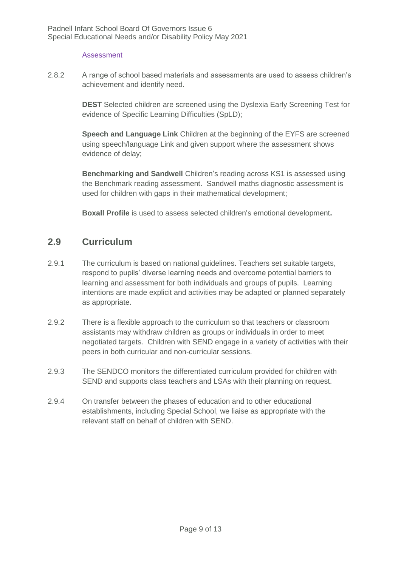#### **Assessment**

2.8.2 A range of school based materials and assessments are used to assess children's achievement and identify need.

> **DEST** Selected children are screened using the Dyslexia Early Screening Test for evidence of Specific Learning Difficulties (SpLD);

> **Speech and Language Link** Children at the beginning of the EYFS are screened using speech/language Link and given support where the assessment shows evidence of delay;

**Benchmarking and Sandwell** Children's reading across KS1 is assessed using the Benchmark reading assessment. Sandwell maths diagnostic assessment is used for children with gaps in their mathematical development;

**Boxall Profile** is used to assess selected children's emotional development**.**

#### <span id="page-8-0"></span>**2.9 Curriculum**

- 2.9.1 The curriculum is based on national guidelines. Teachers set suitable targets, respond to pupils' diverse learning needs and overcome potential barriers to learning and assessment for both individuals and groups of pupils. Learning intentions are made explicit and activities may be adapted or planned separately as appropriate.
- 2.9.2 There is a flexible approach to the curriculum so that teachers or classroom assistants may withdraw children as groups or individuals in order to meet negotiated targets. Children with SEND engage in a variety of activities with their peers in both curricular and non-curricular sessions.
- 2.9.3 The SENDCO monitors the differentiated curriculum provided for children with SEND and supports class teachers and LSAs with their planning on request.
- 2.9.4 On transfer between the phases of education and to other educational establishments, including Special School, we liaise as appropriate with the relevant staff on behalf of children with SEND.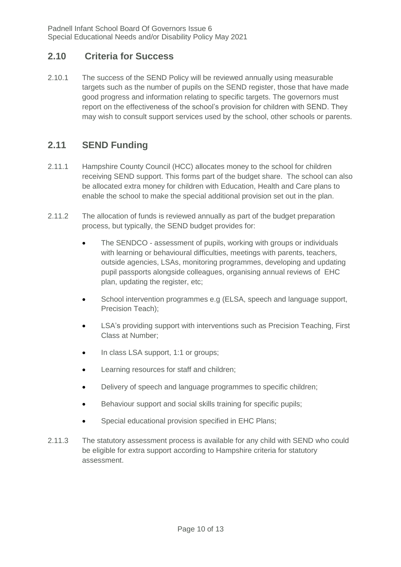#### <span id="page-9-0"></span>**2.10 Criteria for Success**

2.10.1 The success of the SEND Policy will be reviewed annually using measurable targets such as the number of pupils on the SEND register, those that have made good progress and information relating to specific targets. The governors must report on the effectiveness of the school's provision for children with SEND. They may wish to consult support services used by the school, other schools or parents.

## <span id="page-9-1"></span>**2.11 SEND Funding**

- 2.11.1 Hampshire County Council (HCC) allocates money to the school for children receiving SEND support. This forms part of the budget share. The school can also be allocated extra money for children with Education, Health and Care plans to enable the school to make the special additional provision set out in the plan.
- 2.11.2 The allocation of funds is reviewed annually as part of the budget preparation process, but typically, the SEND budget provides for:
	- The SENDCO assessment of pupils, working with groups or individuals with learning or behavioural difficulties, meetings with parents, teachers, outside agencies, LSAs, monitoring programmes, developing and updating pupil passports alongside colleagues, organising annual reviews of EHC plan, updating the register, etc;
	- School intervention programmes e.g (ELSA, speech and language support, Precision Teach);
	- LSA's providing support with interventions such as Precision Teaching, First Class at Number;
	- In class LSA support, 1:1 or groups;
	- **•** Learning resources for staff and children;
	- Delivery of speech and language programmes to specific children;
	- Behaviour support and social skills training for specific pupils;
	- Special educational provision specified in EHC Plans;
- 2.11.3 The statutory assessment process is available for any child with SEND who could be eligible for extra support according to Hampshire criteria for statutory assessment.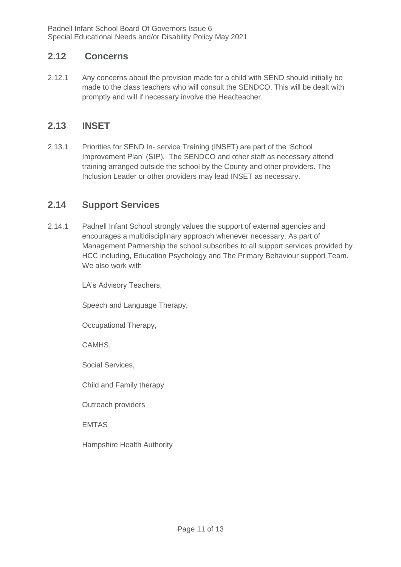#### <span id="page-10-0"></span>**2.12 Concerns**

2.12.1 Any concerns about the provision made for a child with SEND should initially be made to the class teachers who will consult the SENDCO. This will be dealt with promptly and will if necessary involve the Headteacher.

#### <span id="page-10-1"></span>**2.13 INSET**

2.13.1 Priorities for SEND In- service Training (INSET) are part of the 'School Improvement Plan' (SIP). The SENDCO and other staff as necessary attend training arranged outside the school by the County and other providers. The Inclusion Leader or other providers may lead INSET as necessary.

## <span id="page-10-2"></span>**2.14 Support Services**

2.14.1 Padnell Infant School strongly values the support of external agencies and encourages a multidisciplinary approach whenever necessary. As part of Management Partnership the school subscribes to all support services provided by HCC including, Education Psychology and The Primary Behaviour support Team. We also work with

LA's Advisory Teachers,

Speech and Language Therapy,

Occupational Therapy,

CAMHS,

Social Services,

Child and Family therapy

Outreach providers

EMTAS

Hampshire Health Authority